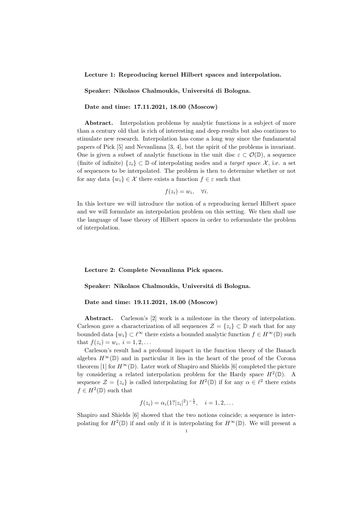Lecture 1: Reproducing kernel Hilbert spaces and interpolation.

Speaker: Nikolaos Chalmoukis, Universitá di Bologna.

Date and time: 17.11.2021, 18.00 (Moscow)

Abstract. Interpolation problems by analytic functions is a subject of more than a century old that is rich of interesting and deep results but also continues to stimulate new research. Interpolation has come a long way since the fundamental papers of Pick [5] and Nevanlinna [3, 4], but the spirit of the problems is invariant. One is given a subset of analytic functions in the unit disc  $\varepsilon \subset \mathcal{O}(\mathbb{D})$ , a sequence (finite of infinite)  $\{z_i\} \subset \mathbb{D}$  of interpolating nodes and a *target space*  $\mathcal{X}$ , i.e. a set of sequences to be interpolated. The problem is then to determine whether or not for any data  $\{w_i\} \in \mathcal{X}$  there exists a function  $f \in \varepsilon$  such that

$$
f(z_i) = w_i, \quad \forall i.
$$

In this lecture we will introduce the notion of a reproducing kernel Hilbert space and we will formulate an interpolation problem on this setting. We then shall use the language of base theory of Hilbert spaces in order to reformulate the problem of interpolation.

Lecture 2: Complete Nevanlinna Pick spaces.

## Speaker: Nikolaos Chalmoukis, Universitá di Bologna.

## Date and time: 19.11.2021, 18.00 (Moscow)

Abstract. Carleson's [2] work is a milestone in the theory of interpolation. Carleson gave a characterization of all sequences  $\mathcal{Z} = \{z_i\} \subset \mathbb{D}$  such that for any bounded data  $\{w_i\} \subset \ell^{\infty}$  there exists a bounded analytic function  $f \in H^{\infty}(\mathbb{D})$  such that  $f(z_i) = w_i, i = 1, 2, ...$ 

Carleson's result had a profound impact in the function theory of the Banach algebra  $H^{\infty}(\mathbb{D})$  and in particular it lies in the heart of the proof of the Corona theorem [1] for  $H^{\infty}(\mathbb{D})$ . Later work of Shapiro and Shields [6] completed the picture by considering a related interpolation problem for the Hardy space  $H^2(\mathbb{D})$ . A sequence  $\mathcal{Z} = \{z_i\}$  is called interpolating for  $H^2(\mathbb{D})$  if for any  $\alpha \in \ell^2$  there exists  $f \in H^2(\mathbb{D})$  such that

$$
f(z_i) = \alpha_i (1^2 |z_i|^2)^{-\frac{1}{2}}, \quad i = 1, 2, \dots
$$

Shapiro and Shields [6] showed that the two notions coincide; a sequence is interpolating for  $H^2(\mathbb{D})$  if and only if it is interpolating for  $H^{\infty}(\mathbb{D})$ . We will present a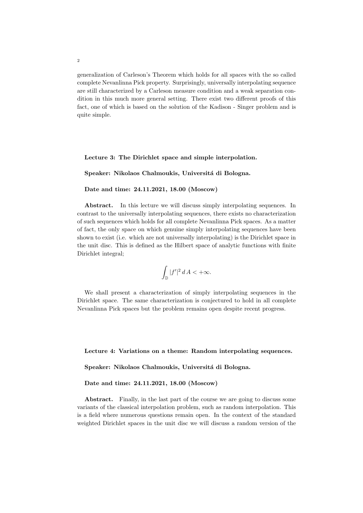generalization of Carleson's Theorem which holds for all spaces with the so called complete Nevanlinna Pick property. Surprisingly, universally interpolating sequence are still characterized by a Carleson measure condition and a weak separation condition in this much more general setting. There exist two different proofs of this fact, one of which is based on the solution of the Kadison - Singer problem and is quite simple.

Lecture 3: The Dirichlet space and simple interpolation.

Speaker: Nikolaos Chalmoukis, Universitá di Bologna.

## Date and time: 24.11.2021, 18.00 (Moscow)

Abstract. In this lecture we will discuss simply interpolating sequences. In contrast to the universally interpolating sequences, there exists no characterization of such sequences which holds for all complete Nevanlinna Pick spaces. As a matter of fact, the only space on which genuine simply interpolating sequences have been shown to exist (i.e. which are not universally interpolating) is the Dirichlet space in the unit disc. This is defined as the Hilbert space of analytic functions with finite Dirichlet integral;

$$
\int_{\mathbb{D}}|f'|^2\,d\,A<+\infty.
$$

We shall present a characterization of simply interpolating sequences in the Dirichlet space. The same characterization is conjectured to hold in all complete Nevanlinna Pick spaces but the problem remains open despite recent progress.

Lecture 4: Variations on a theme: Random interpolating sequences.

Speaker: Nikolaos Chalmoukis, Universitá di Bologna.

Date and time: 24.11.2021, 18.00 (Moscow)

Abstract. Finally, in the last part of the course we are going to discuss some variants of the classical interpolation problem, such as random interpolation. This is a field where numerous questions remain open. In the context of the standard weighted Dirichlet spaces in the unit disc we will discuss a random version of the